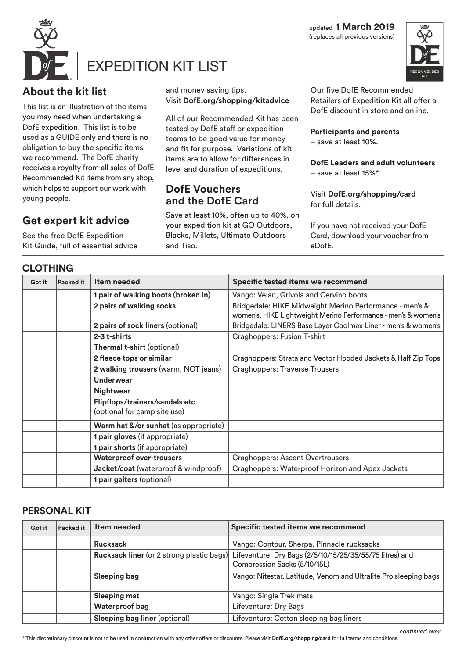updated **1 March 2019** (replaces all previous versions)



# EXPEDITION KIT LIST

### **About the kit list**

This list is an illustration of the items you may need when undertaking a DofE expedition. This list is to be used as a GUIDE only and there is no obligation to buy the specific items we recommend. The DofE charity receives a royalty from all sales of DofE Recommended Kit items from any shop, which helps to support our work with young people.

#### **Get expert kit advice**

See the free DofE Expedition Kit Guide, full of essential advice

#### **CLOTHING**

and money saving tips. Visit **DofE.org/shopping/kitadvice**

All of our Recommended Kit has been tested by DofE staff or expedition teams to be good value for money and fit for purpose. Variations of kit items are to allow for differences in level and duration of expeditions.

#### **DofE Vouchers and the DofE Card**

Save at least 10%, often up to 40%, on your expedition kit at GO Outdoors, Blacks, Millets, Ultimate Outdoors and Tiso.

Our five DofE Recommended Retailers of Expedition Kit all offer a DofE discount in store and online.

**Participants and parents**  – save at least 10%.

**DofE Leaders and adult volunteers**  – save at least 15%\*.

Visit **DofE.org/shopping/card** for full details.

If you have not received your DofE Card, download your voucher from eDofE.

| ULUTIINU |                  |                                                                |                                                                                                                           |  |
|----------|------------------|----------------------------------------------------------------|---------------------------------------------------------------------------------------------------------------------------|--|
| Got it   | <b>Packed it</b> | Item needed                                                    | Specific tested items we recommend                                                                                        |  |
|          |                  | 1 pair of walking boots (broken in)                            | Vango: Velan, Grivola and Cervino boots                                                                                   |  |
|          |                  | 2 pairs of walking socks                                       | Bridgedale: HIKE Midweight Merino Performance - men's &<br>women's, HIKE Lightweight Merino Performance - men's & women's |  |
|          |                  | 2 pairs of sock liners (optional)                              | Bridgedale: LINERS Base Layer Coolmax Liner - men's & women's                                                             |  |
|          |                  | 2-3 t-shirts                                                   | Craghoppers: Fusion T-shirt                                                                                               |  |
|          |                  | Thermal t-shirt (optional)                                     |                                                                                                                           |  |
|          |                  | 2 fleece tops or similar                                       | Craghoppers: Strata and Vector Hooded Jackets & Half Zip Tops                                                             |  |
|          |                  | 2 walking trousers (warm, NOT jeans)                           | <b>Craghoppers: Traverse Trousers</b>                                                                                     |  |
|          |                  | <b>Underwear</b>                                               |                                                                                                                           |  |
|          |                  | <b>Nightwear</b>                                               |                                                                                                                           |  |
|          |                  | Flipflops/trainers/sandals etc<br>(optional for camp site use) |                                                                                                                           |  |
|          |                  | Warm hat &/or sunhat (as appropriate)                          |                                                                                                                           |  |
|          |                  | 1 pair gloves (if appropriate)                                 |                                                                                                                           |  |
|          |                  | 1 pair shorts (if appropriate)                                 |                                                                                                                           |  |
|          |                  | <b>Waterproof over-trousers</b>                                | <b>Craghoppers: Ascent Overtrousers</b>                                                                                   |  |
|          |                  | Jacket/coat (waterproof & windproof)                           | Craghoppers: Waterproof Horizon and Apex Jackets                                                                          |  |
|          |                  | 1 pair gaiters (optional)                                      |                                                                                                                           |  |

#### **PERSONAL KIT**

| Got it | <b>Packed it</b> | Item needed                   | Specific tested items we recommend                                                                                                 |
|--------|------------------|-------------------------------|------------------------------------------------------------------------------------------------------------------------------------|
|        |                  | <b>Rucksack</b>               | Vango: Contour, Sherpa, Pinnacle rucksacks                                                                                         |
|        |                  |                               | Rucksack liner (or 2 strong plastic bags) Lifeventure: Dry Bags (2/5/10/15/25/35/55/75 litres) and<br>Compression Sacks (5/10/15L) |
|        |                  | <b>Sleeping bag</b>           | Vango: Nitestar, Latitude, Venom and Ultralite Pro sleeping bags                                                                   |
|        |                  | <b>Sleeping mat</b>           | Vango: Single Trek mats                                                                                                            |
|        |                  | <b>Waterproof bag</b>         | Lifeventure: Dry Bags                                                                                                              |
|        |                  | Sleeping bag liner (optional) | Lifeventure: Cotton sleeping bag liners                                                                                            |

\* This discretionary discount is not to be used in conjunction with any other offers or discounts. Please visit **DofE.org/shopping/card** for full terms and conditions.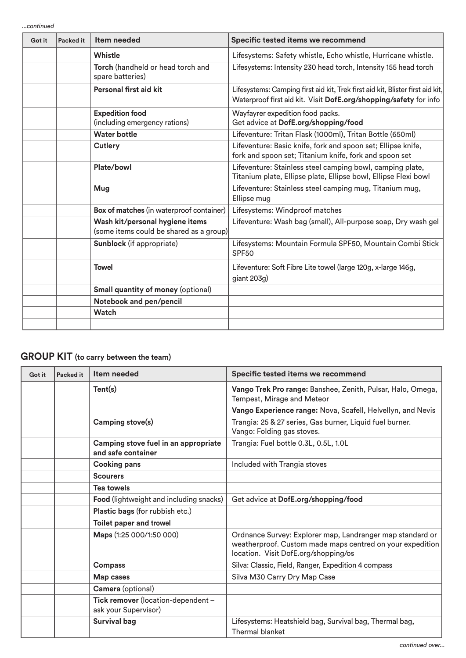*...continued*

| Got it | Packed it | Item needed                                                                | Specific tested items we recommend                                                                                                                  |
|--------|-----------|----------------------------------------------------------------------------|-----------------------------------------------------------------------------------------------------------------------------------------------------|
|        |           | Whistle                                                                    | Lifesystems: Safety whistle, Echo whistle, Hurricane whistle.                                                                                       |
|        |           | Torch (handheld or head torch and<br>spare batteries)                      | Lifesystems: Intensity 230 head torch, Intensity 155 head torch                                                                                     |
|        |           | Personal first aid kit                                                     | Lifesystems: Camping first aid kit, Trek first aid kit, Blister first aid kit,<br>Waterproof first aid kit. Visit DofE.org/shopping/safety for info |
|        |           | <b>Expedition food</b><br>(including emergency rations)                    | Wayfayrer expedition food packs.<br>Get advice at DofE.org/shopping/food                                                                            |
|        |           | <b>Water bottle</b>                                                        | Lifeventure: Tritan Flask (1000ml), Tritan Bottle (650ml)                                                                                           |
|        |           | Cutlery                                                                    | Lifeventure: Basic knife, fork and spoon set; Ellipse knife,<br>fork and spoon set; Titanium knife, fork and spoon set                              |
|        |           | Plate/bowl                                                                 | Lifeventure: Stainless steel camping bowl, camping plate,<br>Titanium plate, Ellipse plate, Ellipse bowl, Ellipse Flexi bowl                        |
|        |           | Mug                                                                        | Lifeventure: Stainless steel camping mug, Titanium mug,<br>Ellipse mug                                                                              |
|        |           | Box of matches (in waterproof container)                                   | Lifesystems: Windproof matches                                                                                                                      |
|        |           | Wash kit/personal hygiene items<br>(some items could be shared as a group) | Lifeventure: Wash bag (small), All-purpose soap, Dry wash gel                                                                                       |
|        |           | Sunblock (if appropriate)                                                  | Lifesystems: Mountain Formula SPF50, Mountain Combi Stick<br>SPF <sub>50</sub>                                                                      |
|        |           | <b>Towel</b>                                                               | Lifeventure: Soft Fibre Lite towel (large 120g, x-large 146g,<br>giant 203g)                                                                        |
|        |           | <b>Small quantity of money (optional)</b>                                  |                                                                                                                                                     |
|        |           | Notebook and pen/pencil                                                    |                                                                                                                                                     |
|        |           | Watch                                                                      |                                                                                                                                                     |
|        |           |                                                                            |                                                                                                                                                     |

## **GROUP KIT (to carry between the team)**

| Got it | <b>Packed it</b> | Item needed                                                | Specific tested items we recommend                                                                                                                             |
|--------|------------------|------------------------------------------------------------|----------------------------------------------------------------------------------------------------------------------------------------------------------------|
|        |                  | Tent(s)                                                    | Vango Trek Pro range: Banshee, Zenith, Pulsar, Halo, Omega,<br>Tempest, Mirage and Meteor                                                                      |
|        |                  |                                                            | Vango Experience range: Nova, Scafell, Helvellyn, and Nevis                                                                                                    |
|        |                  | Camping stove(s)                                           | Trangia: 25 & 27 series, Gas burner, Liquid fuel burner.<br>Vango: Folding gas stoves.                                                                         |
|        |                  | Camping stove fuel in an appropriate<br>and safe container | Trangia: Fuel bottle 0.3L, 0.5L, 1.0L                                                                                                                          |
|        |                  | <b>Cooking pans</b>                                        | Included with Trangia stoves                                                                                                                                   |
|        |                  | <b>Scourers</b>                                            |                                                                                                                                                                |
|        |                  | <b>Tea towels</b>                                          |                                                                                                                                                                |
|        |                  | <b>Food</b> (lightweight and including snacks)             | Get advice at DofE.org/shopping/food                                                                                                                           |
|        |                  | Plastic bags (for rubbish etc.)                            |                                                                                                                                                                |
|        |                  | <b>Toilet paper and trowel</b>                             |                                                                                                                                                                |
|        |                  | Maps (1:25 000/1:50 000)                                   | Ordnance Survey: Explorer map, Landranger map standard or<br>weatherproof. Custom made maps centred on your expedition<br>location. Visit DofE.org/shopping/os |
|        |                  | <b>Compass</b>                                             | Silva: Classic, Field, Ranger, Expedition 4 compass                                                                                                            |
|        |                  | Map cases                                                  | Silva M30 Carry Dry Map Case                                                                                                                                   |
|        |                  | Camera (optional)                                          |                                                                                                                                                                |
|        |                  | Tick remover (location-dependent -<br>ask your Supervisor) |                                                                                                                                                                |
|        |                  | <b>Survival bag</b>                                        | Lifesystems: Heatshield bag, Survival bag, Thermal bag,<br><b>Thermal blanket</b>                                                                              |